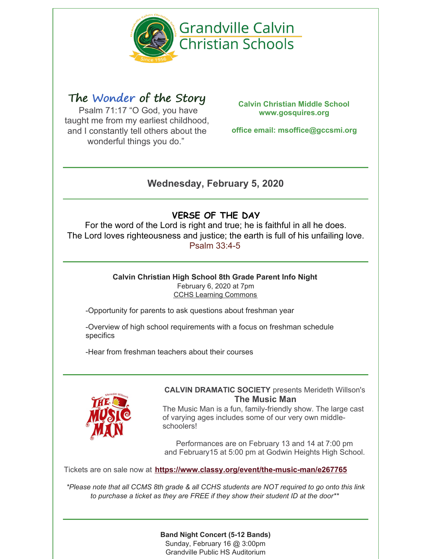

# The Wonder of the Story

Psalm 71:17 "O God, you have taught me from my earliest childhood, and I constantly tell others about the wonderful things you do."

**Calvin Christian Middle School www.gosquires.org**

**office email: msoffice@gccsmi.org**

# **Wednesday, February 5, 2020**

# **VERSE OF THE DAY**

For the word of the Lord is right and true; he is faithful in all he does. The Lord loves righteousness and justice; the earth is full of his unfailing love. [Psalm](https://www.biblegateway.com/passage/?version=NIV&search=Psalm 33:4-5) 33:4-5

#### **Calvin Christian High School 8th Grade Parent Info Night** February 6, 2020 at 7pm CCHS Learning Commons

-Opportunity for parents to ask questions about freshman year

-Overview of high school requirements with a focus on freshman schedule specifics

-Hear from freshman teachers about their courses



### **CALVIN DRAMATIC SOCIETY** presents Merideth Willson's **The Music Man**

The Music Man is a fun, family-friendly show. The large cast of varying ages includes some of our very own middleschoolers!

Performances are on February 13 and 14 at 7:00 pm and February15 at 5:00 pm at Godwin Heights High School.

Tickets are on sale now at **<https://www.classy.org/event/the-music-man/e267765>**

\*Please note that all CCMS 8th grade & all CCHS students are NOT required to go onto this link *to purchase a ticket as they are FREE if they show their student ID at the door\*\**

### **Band Night Concert (5-12 Bands)**

Sunday, February 16 @ 3:00pm Grandville Public HS Auditorium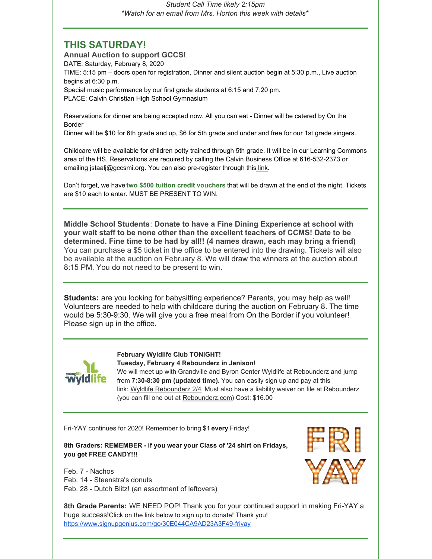*Student Call Time likely 2:15pm \*Watch for an email from Mrs. Horton this week with details\**

### **THIS SATURDAY!**

**Annual Auction to support GCCS!** DATE: Saturday, February 8, 2020 TIME: 5:15 pm – doors open for registration, Dinner and silent auction begin at 5:30 p.m., Live auction begins at 6:30 p.m. Special music performance by our first grade students at 6:15 and 7:20 pm. PLACE: Calvin Christian High School Gymnasium

Reservations for dinner are being accepted now. All you can eat - Dinner will be catered by On the Border

Dinner will be \$10 for 6th grade and up, \$6 for 5th grade and under and free for our 1st grade singers.

Childcare will be available for children potty trained through 5th grade. It will be in our Learning Commons area of the HS. Reservations are required by calling the Calvin Business Office at 616-532-2373 or emailing jstaalj@gccsmi.org. You can also pre-register through this [link](https://docs.google.com/forms/d/1yIRvbcc3Hij8KmY63jTXnkS9np8ZSoNE3QXAgTecXTk/edit).

Don't forget, we have **two \$500 tuition credit vouchers** that will be drawn at the end of the night. Tickets are \$10 each to enter. MUST BE PRESENT TO WIN.

**Middle School Students**: **Donate to have a Fine Dining Experience at school with your wait staff to be none other than the excellent teachers of CCMS! Date to be determined. Fine time to be had by all!! (4 names drawn, each may bring a friend)** You can purchase a \$5 ticket in the office to be entered into the drawing. Tickets will also be available at the auction on February 8. We will draw the winners at the auction about 8:15 PM. You do not need to be present to win.

**Students:** are you looking for babysitting experience? Parents, you may help as well! Volunteers are needed to help with childcare during the auction on February 8. The time would be 5:30-9:30. We will give you a free meal from On the Border if you volunteer! Please sign up in the office.



**February Wyldlife Club TONIGHT!**

**Tuesday, February 4 Rebounderz in Jenison!**

We will meet up with Grandville and Byron Center Wyldlife at Rebounderz and jump from **7:30-8:30 pm (updated time).** You can easily sign up and pay at this link: Wyldlife [Rebounderz](https://forms.gle/dSU3aDKBeBi4tUyu6) 2/4. Must also have a liability waiver on file at Rebounderz (you can fill one out at [Rebounderz.com](https://www.rebounderz.com/city/grand-rapids/)) Cost: \$16.00

Fri-YAY continues for 2020! Remember to bring \$1 **every** Friday!

**8th Graders: REMEMBER - if you wear your Class of '24 shirt on Fridays, you get FREE CANDY!!!**

Feb. 7 - Nachos Feb. 14 - Steenstra's donuts Feb. 28 - Dutch Blitz! (an assortment of leftovers)



**8th Grade Parents:** WE NEED POP! Thank you for your continued support in making Fri-YAY a huge success!Click on the link below to sign up to donate! Thank you! <https://www.signupgenius.com/go/30E044CA9AD23A3F49-friyay>